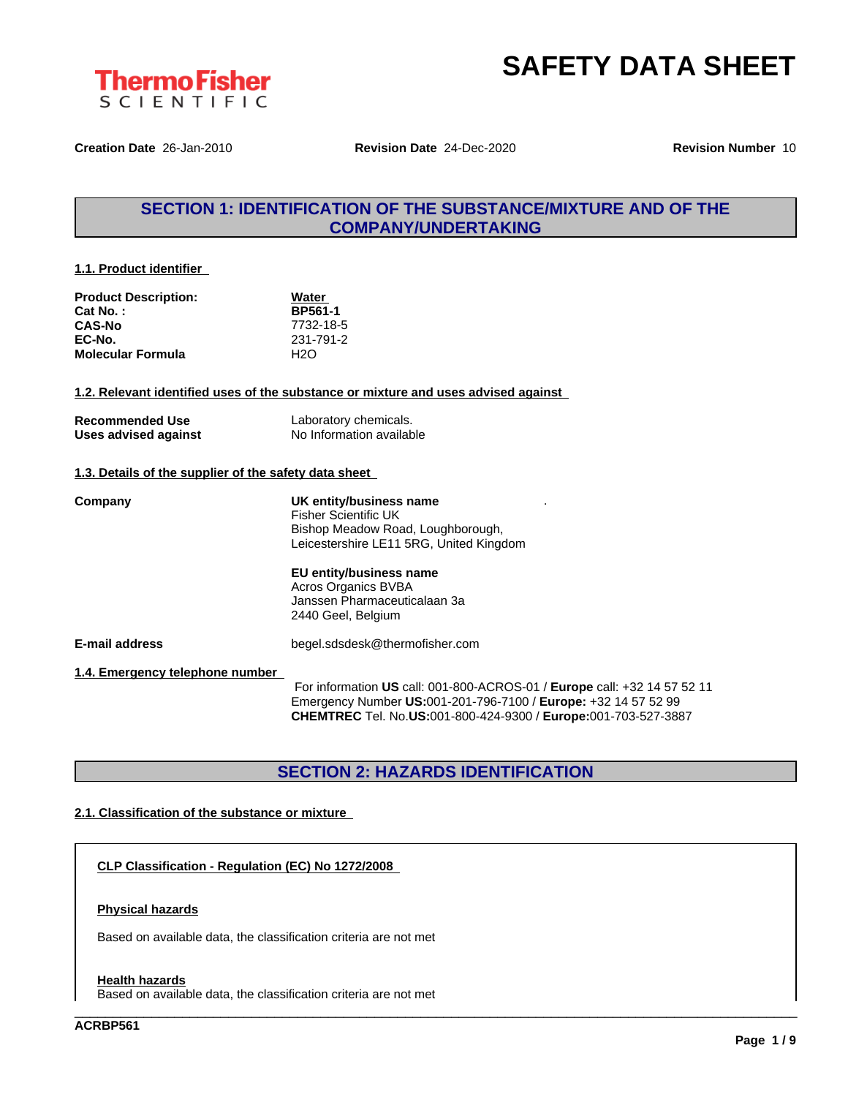



**Creation Date** 26-Jan-2010 **Revision Date** 24-Dec-2020 **Revision Number** 10

## **SECTION 1: IDENTIFICATION OF THE SUBSTANCE/MIXTURE AND OF THE COMPANY/UNDERTAKING**

#### **1.1. Product identifier**

| <b>Product Description:</b> | Water          |  |
|-----------------------------|----------------|--|
| Cat No.:                    | <b>BP561-1</b> |  |
| <b>CAS-No</b>               | 7732-18-5      |  |
| EC-No.                      | 231-791-2      |  |
| <b>Molecular Formula</b>    | H2O            |  |

**1.2. Relevant identified uses of the substance or mixture and uses advised against**

| <b>Recommended Use</b> | Laboratory chemicals.    |
|------------------------|--------------------------|
| Uses advised against   | No Information available |

#### **1.3. Details of the supplier of the safety data sheet**

| Company                         | UK entity/business name<br>Fisher Scientific UK<br>Bishop Meadow Road, Loughborough,<br>Leicestershire LE11 5RG, United Kingdom                                                                                     |
|---------------------------------|---------------------------------------------------------------------------------------------------------------------------------------------------------------------------------------------------------------------|
|                                 | EU entity/business name<br><b>Acros Organics BVBA</b><br>Janssen Pharmaceuticalaan 3a<br>2440 Geel, Belgium                                                                                                         |
| <b>E-mail address</b>           | begel.sdsdesk@thermofisher.com                                                                                                                                                                                      |
| 1.4. Emergency telephone number | For information US call: 001-800-ACROS-01 / Europe call: +32 14 57 52 11<br>Emergency Number US:001-201-796-7100 / Europe: +32 14 57 52 99<br><b>CHEMTREC</b> Tel. No.US:001-800-424-9300 / Europe:001-703-527-3887 |

# **SECTION 2: HAZARDS IDENTIFICATION**

\_\_\_\_\_\_\_\_\_\_\_\_\_\_\_\_\_\_\_\_\_\_\_\_\_\_\_\_\_\_\_\_\_\_\_\_\_\_\_\_\_\_\_\_\_\_\_\_\_\_\_\_\_\_\_\_\_\_\_\_\_\_\_\_\_\_\_\_\_\_\_\_\_\_\_\_\_\_\_\_\_\_\_\_\_\_\_\_\_\_\_\_\_\_

#### **2.1. Classification of the substance or mixture**

**CLP Classification - Regulation (EC) No 1272/2008**

#### **Physical hazards**

Based on available data, the classification criteria are not met

#### **Health hazards**

Based on available data, the classification criteria are not met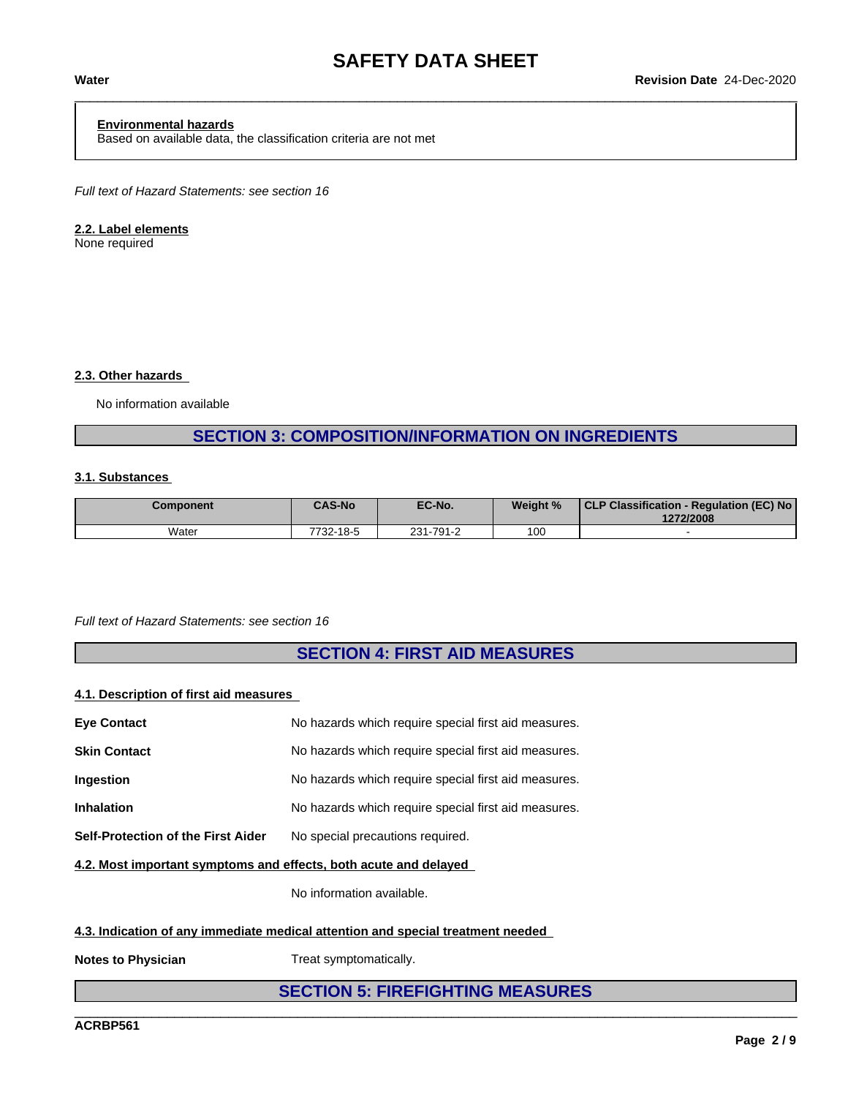#### **Environmental hazards**

Based on available data, the classification criteria are not met

*Full text of Hazard Statements: see section 16*

#### **2.2. Label elements**

None required

#### **2.3. Other hazards**

No information available

## **SECTION 3: COMPOSITION/INFORMATION ON INGREDIENTS**

### **3.1. Substances**

| Component | <b>CAS-No</b> | EC-No.          | Weight % | <b>CLP Classification -</b><br>- Regulation (EC) No<br>1272/2008 |
|-----------|---------------|-----------------|----------|------------------------------------------------------------------|
| Water     | 7732-18-5     | $-791-2$<br>231 | 100      |                                                                  |

#### *Full text of Hazard Statements: see section 16*

## **SECTION 4: FIRST AID MEASURES**

#### **4.1. Description of first aid measures**

| <b>Eye Contact</b>                        | No hazards which require special first aid measures. |
|-------------------------------------------|------------------------------------------------------|
| <b>Skin Contact</b>                       | No hazards which require special first aid measures. |
| <b>Ingestion</b>                          | No hazards which require special first aid measures. |
| <b>Inhalation</b>                         | No hazards which require special first aid measures. |
| <b>Self-Protection of the First Aider</b> | No special precautions required.                     |
|                                           |                                                      |

**4.2. Most important symptoms and effects, both acute and delayed**

No information available.

#### **4.3. Indication of any immediate medical attention and special treatment needed**

**Notes to Physician** Treat symptomatically.

# **SECTION 5: FIREFIGHTING MEASURES**

\_\_\_\_\_\_\_\_\_\_\_\_\_\_\_\_\_\_\_\_\_\_\_\_\_\_\_\_\_\_\_\_\_\_\_\_\_\_\_\_\_\_\_\_\_\_\_\_\_\_\_\_\_\_\_\_\_\_\_\_\_\_\_\_\_\_\_\_\_\_\_\_\_\_\_\_\_\_\_\_\_\_\_\_\_\_\_\_\_\_\_\_\_\_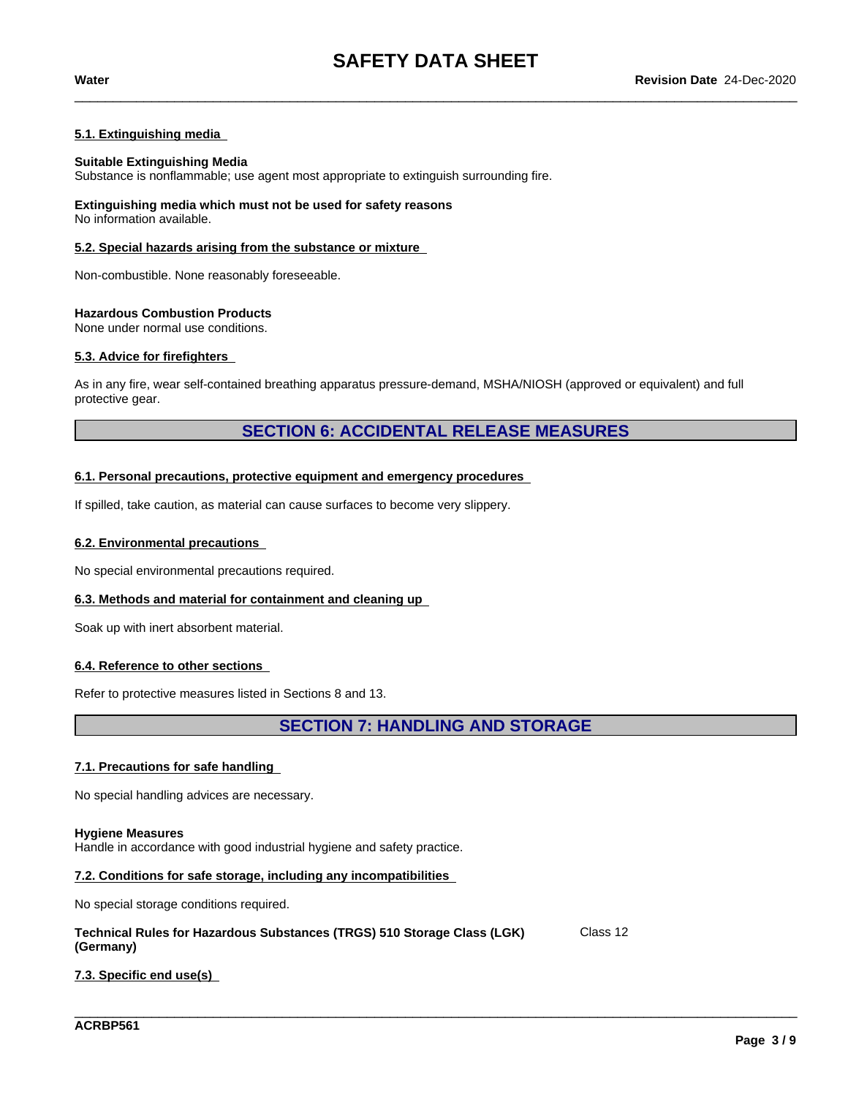#### **5.1. Extinguishing media**

#### **Suitable Extinguishing Media**

Substance is nonflammable; use agent most appropriate to extinguish surrounding fire.

**Extinguishing media which must not be used for safety reasons** No information available.

#### **5.2. Special hazards arising from the substance or mixture**

Non-combustible. None reasonably foreseeable.

#### **Hazardous Combustion Products**

None under normal use conditions.

#### **5.3. Advice for firefighters**

As in any fire, wear self-contained breathing apparatus pressure-demand, MSHA/NIOSH (approved or equivalent) and full protective gear.

## **SECTION 6: ACCIDENTAL RELEASE MEASURES**

#### **6.1. Personal precautions, protective equipment and emergency procedures**

If spilled, take caution, as material can cause surfaces to become very slippery.

#### **6.2. Environmental precautions**

No special environmental precautions required.

#### **6.3. Methods and material for containment and cleaning up**

Soak up with inert absorbent material.

#### **6.4. Reference to other sections**

Refer to protective measures listed in Sections 8 and 13.

**SECTION 7: HANDLING AND STORAGE**

\_\_\_\_\_\_\_\_\_\_\_\_\_\_\_\_\_\_\_\_\_\_\_\_\_\_\_\_\_\_\_\_\_\_\_\_\_\_\_\_\_\_\_\_\_\_\_\_\_\_\_\_\_\_\_\_\_\_\_\_\_\_\_\_\_\_\_\_\_\_\_\_\_\_\_\_\_\_\_\_\_\_\_\_\_\_\_\_\_\_\_\_\_\_

#### **7.1. Precautions for safe handling**

No special handling advices are necessary.

#### **Hygiene Measures**

Handle in accordance with good industrial hygiene and safety practice.

#### **7.2. Conditions for safe storage, including any incompatibilities**

No special storage conditions required.

| Technical Rules for Hazardous Substances (TRGS) 510 Storage Class (LGK) | Class 12 |
|-------------------------------------------------------------------------|----------|
| (Germany)                                                               |          |

#### **7.3. Specific end use(s)**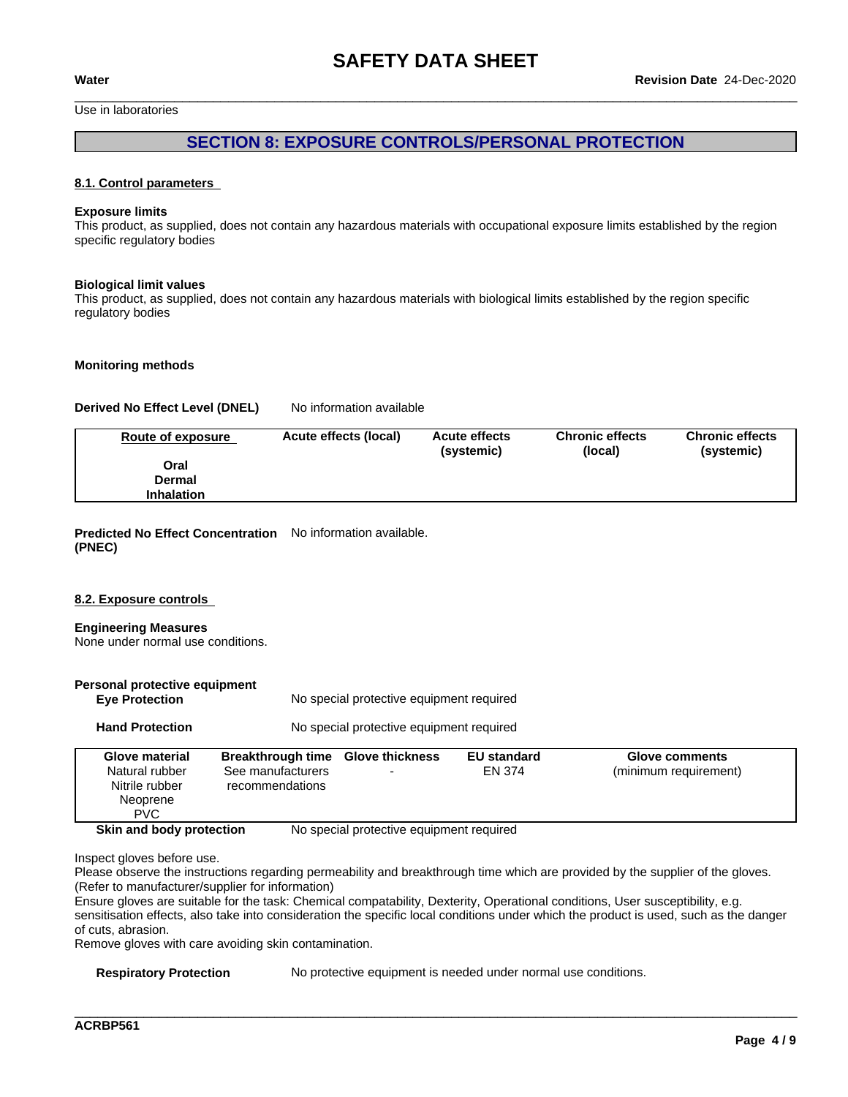Use in laboratories

## **SECTION 8: EXPOSURE CONTROLS/PERSONAL PROTECTION**

#### **8.1. Control parameters**

#### **Exposure limits**

This product, as supplied, does not contain any hazardous materials with occupational exposure limits established by the region specific regulatory bodies

#### **Biological limit values**

This product, as supplied, does not contain any hazardous materials with biological limits established by the region specific regulatory bodies

#### **Monitoring methods**

#### **Derived No Effect Level (DNEL)** No information available

| Route of exposure | Acute effects (local) | <b>Acute effects</b><br>(systemic) | <b>Chronic effects</b><br>(local) | <b>Chronic effects</b><br>(systemic) |
|-------------------|-----------------------|------------------------------------|-----------------------------------|--------------------------------------|
| Oral              |                       |                                    |                                   |                                      |
| Dermal            |                       |                                    |                                   |                                      |
| <b>Inhalation</b> |                       |                                    |                                   |                                      |

#### **Predicted No Effect Concentration** No information available. **(PNEC)**

#### **8.2. Exposure controls**

#### **Engineering Measures** None under normal use conditions.

| Personal protective equipment<br><b>Eye Protection</b> |                                      | No special protective equipment required |                    |                       |  |
|--------------------------------------------------------|--------------------------------------|------------------------------------------|--------------------|-----------------------|--|
| <b>Hand Protection</b>                                 |                                      | No special protective equipment required |                    |                       |  |
| <b>Glove material</b>                                  | <b>Breakthrough time</b>             | <b>Glove thickness</b>                   | <b>EU</b> standard | <b>Glove comments</b> |  |
| Natural rubber<br>Nitrile rubber<br>Neoprene           | See manufacturers<br>recommendations |                                          | <b>FN 374</b>      | (minimum requirement) |  |

Inspect gloves before use.

Please observe the instructions regarding permeability and breakthrough time which are provided by the supplier of the gloves. (Refer to manufacturer/supplier for information)

Ensure gloves are suitable for the task: Chemical compatability, Dexterity, Operational conditions, User susceptibility, e.g. sensitisation effects, also take into consideration the specific local conditions under which the product is used, such as the danger of cuts, abrasion.

Remove gloves with care avoiding skin contamination.

PVC **Example 20** 

**Skin and body protection** No special protective equipment required

**Respiratory Protection** No protective equipment is needed under normal use conditions.

\_\_\_\_\_\_\_\_\_\_\_\_\_\_\_\_\_\_\_\_\_\_\_\_\_\_\_\_\_\_\_\_\_\_\_\_\_\_\_\_\_\_\_\_\_\_\_\_\_\_\_\_\_\_\_\_\_\_\_\_\_\_\_\_\_\_\_\_\_\_\_\_\_\_\_\_\_\_\_\_\_\_\_\_\_\_\_\_\_\_\_\_\_\_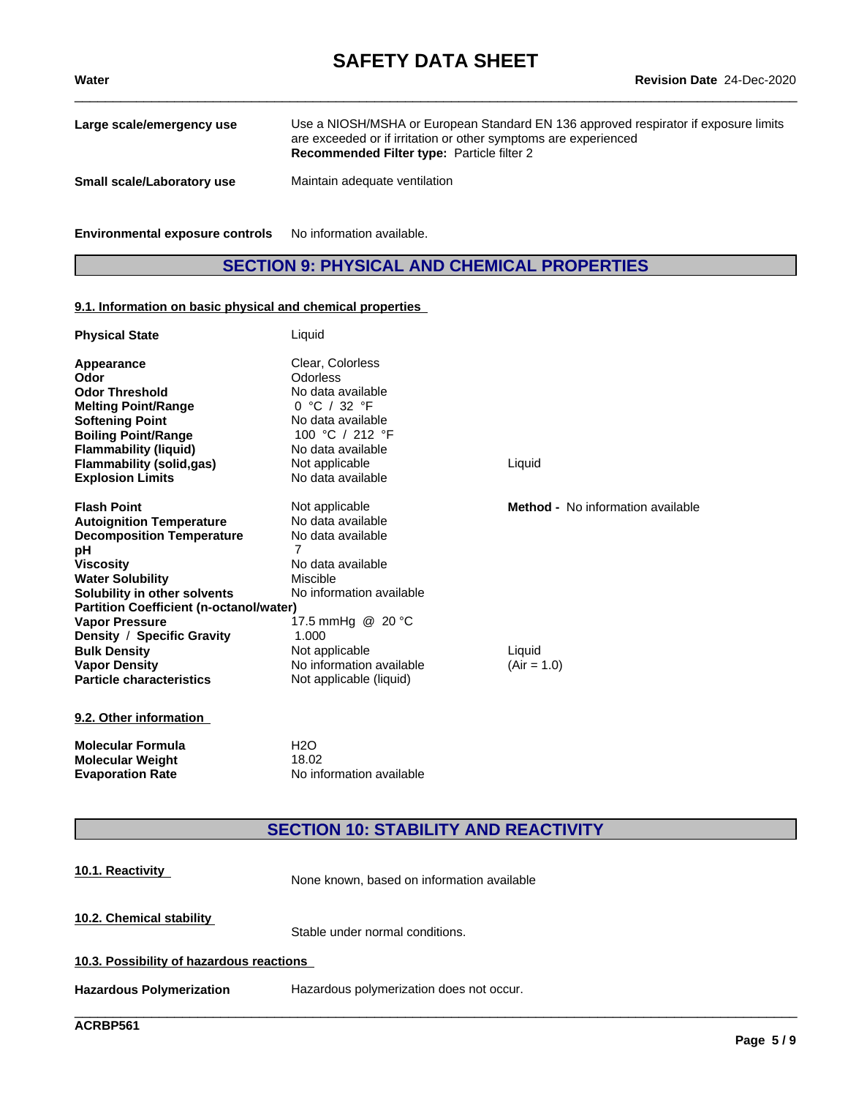| Large scale/emergency use         | Use a NIOSH/MSHA or European Standard EN 136 approved respirator if exposure limits<br>are exceeded or if irritation or other symptoms are experienced<br><b>Recommended Filter type: Particle filter 2</b> |
|-----------------------------------|-------------------------------------------------------------------------------------------------------------------------------------------------------------------------------------------------------------|
| <b>Small scale/Laboratory use</b> | Maintain adequate ventilation                                                                                                                                                                               |

**Environmental exposure controls** No information available.

## **SECTION 9: PHYSICAL AND CHEMICAL PROPERTIES**

#### **9.1. Information on basic physical and chemical properties**

| <b>Physical State</b>                          | Liquid                   |                                          |  |
|------------------------------------------------|--------------------------|------------------------------------------|--|
| Appearance                                     | Clear, Colorless         |                                          |  |
| Odor                                           | Odorless                 |                                          |  |
| <b>Odor Threshold</b>                          | No data available        |                                          |  |
| <b>Melting Point/Range</b>                     | 0 °C / 32 °F             |                                          |  |
| <b>Softening Point</b>                         | No data available        |                                          |  |
| <b>Boiling Point/Range</b>                     | 100 °C / 212 °F          |                                          |  |
| <b>Flammability (liquid)</b>                   | No data available        |                                          |  |
| <b>Flammability (solid,gas)</b>                | Not applicable           | Liquid                                   |  |
| <b>Explosion Limits</b>                        | No data available        |                                          |  |
| <b>Flash Point</b>                             | Not applicable           | <b>Method -</b> No information available |  |
| <b>Autoignition Temperature</b>                | No data available        |                                          |  |
| <b>Decomposition Temperature</b>               | No data available        |                                          |  |
| рH                                             | 7                        |                                          |  |
| Viscosity                                      | No data available        |                                          |  |
| <b>Water Solubility</b>                        | Miscible                 |                                          |  |
| Solubility in other solvents                   | No information available |                                          |  |
| <b>Partition Coefficient (n-octanol/water)</b> |                          |                                          |  |
| <b>Vapor Pressure</b>                          | 17.5 mmHg @ 20 °C        |                                          |  |
| Density / Specific Gravity                     | 1.000                    |                                          |  |
| <b>Bulk Density</b>                            | Not applicable           | Liquid                                   |  |
| <b>Vapor Density</b>                           | No information available | $(Air = 1.0)$                            |  |
| <b>Particle characteristics</b>                | Not applicable (liquid)  |                                          |  |
| 9.2. Other information                         |                          |                                          |  |

**Molecular Formula** H2O **Molecular Weight** 18.02<br>**Evaporation Rate** No inf **Evaporation Rate** No information available

# **SECTION 10: STABILITY AND REACTIVITY**

| 10.1. Reactivity                         | None known, based on information available |  |  |
|------------------------------------------|--------------------------------------------|--|--|
| 10.2. Chemical stability                 | Stable under normal conditions.            |  |  |
| 10.3. Possibility of hazardous reactions |                                            |  |  |
| <b>Hazardous Polymerization</b>          | Hazardous polymerization does not occur.   |  |  |
|                                          |                                            |  |  |

**ACRBP561**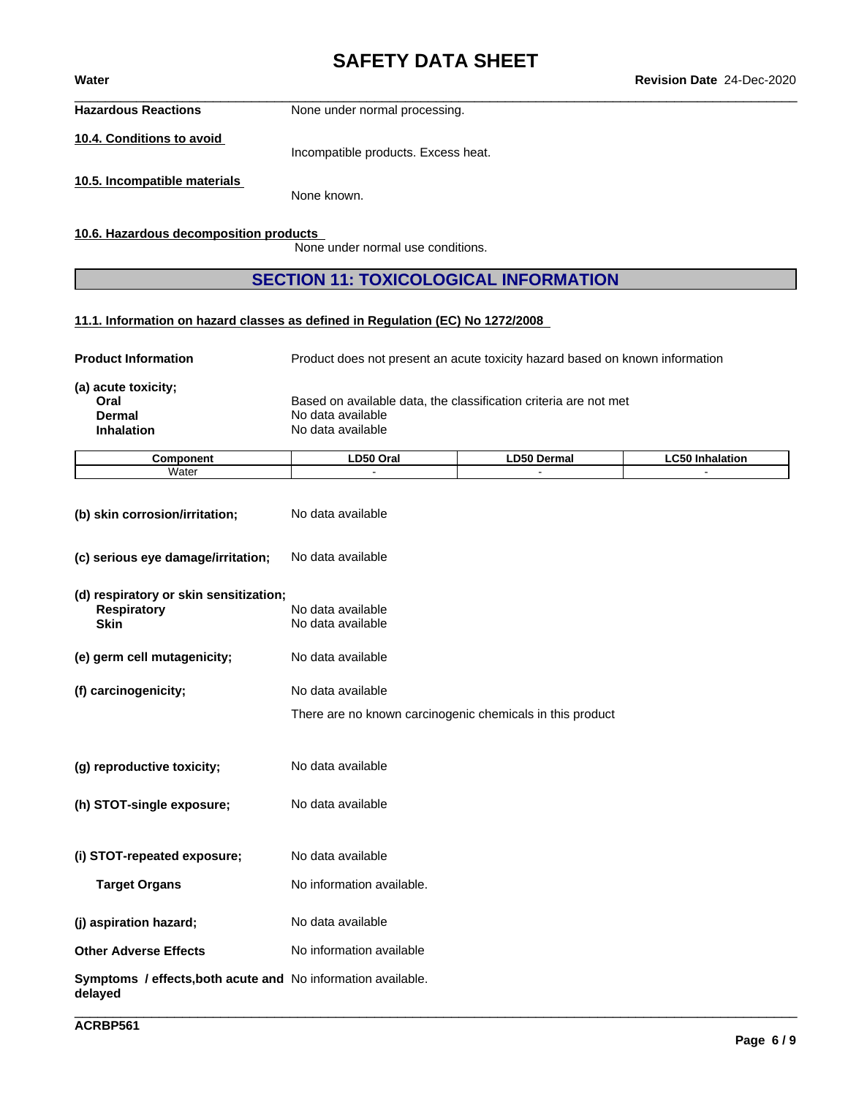**Hazardous Reactions** None under normal processing.

**10.4. Conditions to avoid**

Incompatible products. Excess heat.

**10.5. Incompatible materials**

None known.

**10.6. Hazardous decomposition products**

None under normal use conditions.

## **SECTION 11: TOXICOLOGICAL INFORMATION**

**11.1. Information on hazard classes as defined in Regulation (EC) No 1272/2008**

**Product Information** Product does not present an acute toxicity hazard based on known information **(a) acute toxicity; Oral** Based on available data, the classification criteria are not met<br> **Dermal** Boodata available **Dermal** No data available<br> **Inhalation** No data available **No data available** 

| ----- | $- - -$ | .  | - - |
|-------|---------|----|-----|
| `n n  | Oral    | ma |     |
| งnen  |         | -- |     |
| Water |         |    |     |

| (b) skin corrosion/irritation;                                              | No data available                                                              |  |  |  |  |
|-----------------------------------------------------------------------------|--------------------------------------------------------------------------------|--|--|--|--|
| (c) serious eye damage/irritation;                                          | No data available                                                              |  |  |  |  |
| (d) respiratory or skin sensitization;<br><b>Respiratory</b><br><b>Skin</b> | No data available<br>No data available                                         |  |  |  |  |
| (e) germ cell mutagenicity;                                                 | No data available                                                              |  |  |  |  |
| (f) carcinogenicity;                                                        | No data available<br>There are no known carcinogenic chemicals in this product |  |  |  |  |
| (g) reproductive toxicity;                                                  | No data available                                                              |  |  |  |  |
| (h) STOT-single exposure;                                                   | No data available                                                              |  |  |  |  |
| (i) STOT-repeated exposure;                                                 | No data available                                                              |  |  |  |  |
| <b>Target Organs</b>                                                        | No information available.                                                      |  |  |  |  |
| (j) aspiration hazard;                                                      | No data available                                                              |  |  |  |  |
| <b>Other Adverse Effects</b>                                                | No information available                                                       |  |  |  |  |
| Symptoms / effects, both acute and No information available.<br>delayed     |                                                                                |  |  |  |  |
|                                                                             |                                                                                |  |  |  |  |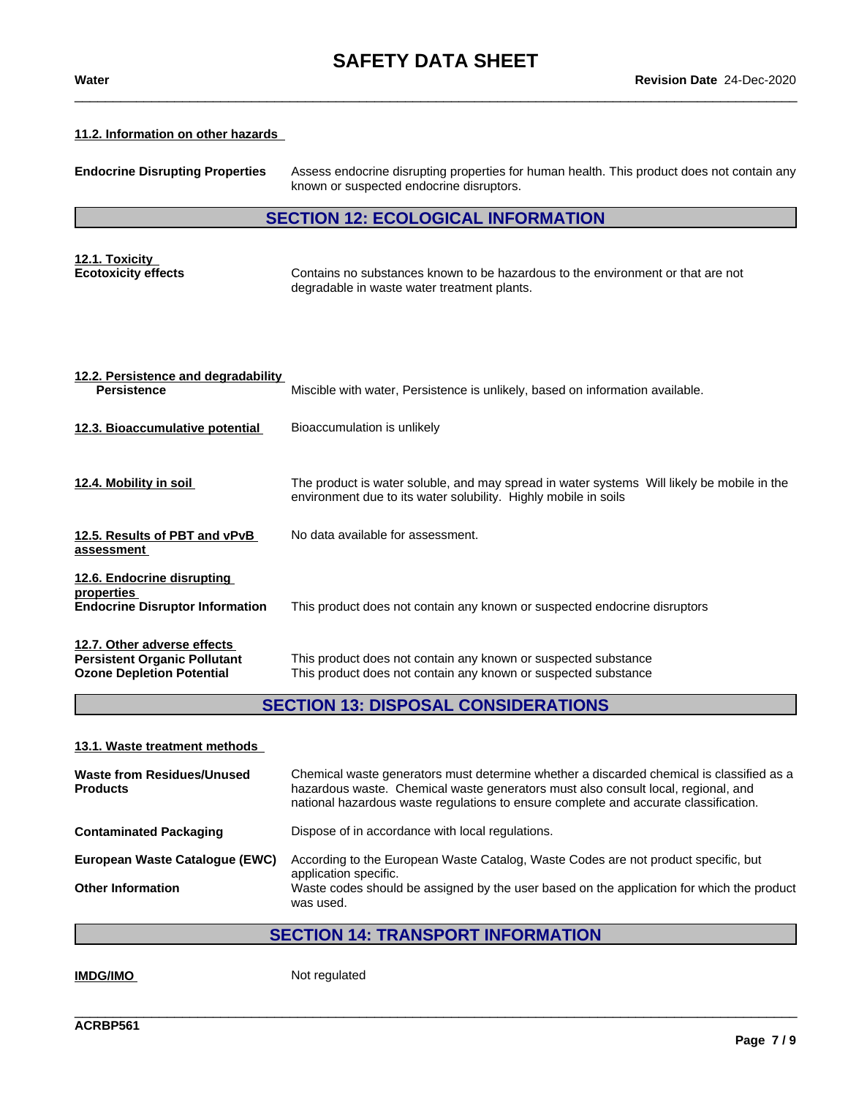#### **11.2. Information on other hazards**

| <b>Endocrine Disrupting Properties</b>                                                                 | Assess endocrine disrupting properties for human health. This product does not contain any<br>known or suspected endocrine disruptors.                        |  |  |  |
|--------------------------------------------------------------------------------------------------------|---------------------------------------------------------------------------------------------------------------------------------------------------------------|--|--|--|
|                                                                                                        | <b>SECTION 12: ECOLOGICAL INFORMATION</b>                                                                                                                     |  |  |  |
| 12.1. Toxicity<br><b>Ecotoxicity effects</b>                                                           | Contains no substances known to be hazardous to the environment or that are not<br>degradable in waste water treatment plants.                                |  |  |  |
| 12.2. Persistence and degradability<br><b>Persistence</b>                                              | Miscible with water, Persistence is unlikely, based on information available.                                                                                 |  |  |  |
| 12.3. Bioaccumulative potential                                                                        | Bioaccumulation is unlikely                                                                                                                                   |  |  |  |
| 12.4. Mobility in soil                                                                                 | The product is water soluble, and may spread in water systems Will likely be mobile in the<br>environment due to its water solubility. Highly mobile in soils |  |  |  |
| 12.5. Results of PBT and vPvB<br>assessment                                                            | No data available for assessment.                                                                                                                             |  |  |  |
| 12.6. Endocrine disrupting<br>properties<br><b>Endocrine Disruptor Information</b>                     | This product does not contain any known or suspected endocrine disruptors                                                                                     |  |  |  |
| 12.7. Other adverse effects<br><b>Persistent Organic Pollutant</b><br><b>Ozone Depletion Potential</b> | This product does not contain any known or suspected substance<br>This product does not contain any known or suspected substance                              |  |  |  |

# **SECTION 13: DISPOSAL CONSIDERATIONS**

**13.1. Waste treatment methods**

| <b>Waste from Residues/Unused</b><br><b>Products</b> | Chemical waste generators must determine whether a discarded chemical is classified as a<br>hazardous waste. Chemical waste generators must also consult local, regional, and<br>national hazardous waste regulations to ensure complete and accurate classification. |
|------------------------------------------------------|-----------------------------------------------------------------------------------------------------------------------------------------------------------------------------------------------------------------------------------------------------------------------|
| <b>Contaminated Packaging</b>                        | Dispose of in accordance with local regulations.                                                                                                                                                                                                                      |
| European Waste Catalogue (EWC)                       | According to the European Waste Catalog, Waste Codes are not product specific, but<br>application specific.                                                                                                                                                           |
| <b>Other Information</b>                             | Waste codes should be assigned by the user based on the application for which the product<br>was used.                                                                                                                                                                |
|                                                      |                                                                                                                                                                                                                                                                       |

# **SECTION 14: TRANSPORT INFORMATION**

\_\_\_\_\_\_\_\_\_\_\_\_\_\_\_\_\_\_\_\_\_\_\_\_\_\_\_\_\_\_\_\_\_\_\_\_\_\_\_\_\_\_\_\_\_\_\_\_\_\_\_\_\_\_\_\_\_\_\_\_\_\_\_\_\_\_\_\_\_\_\_\_\_\_\_\_\_\_\_\_\_\_\_\_\_\_\_\_\_\_\_\_\_\_

**IMDG/IMO** Not regulated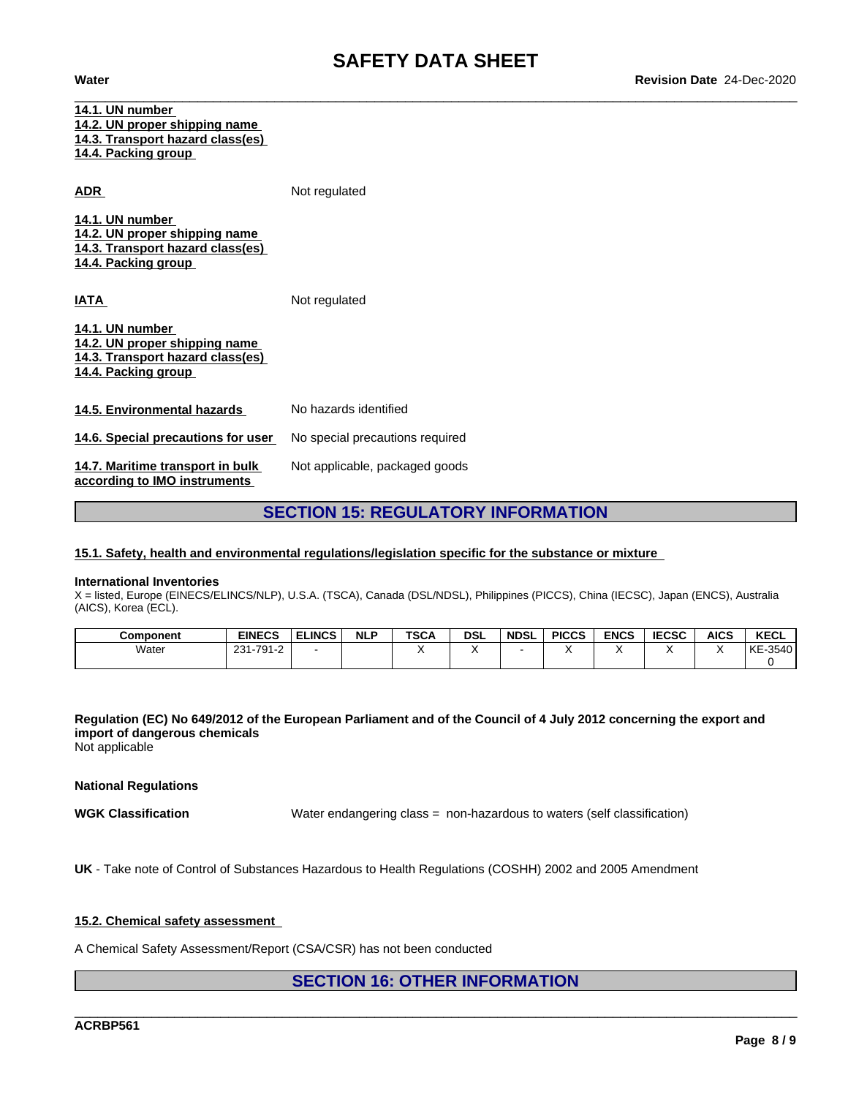| 14.1. UN number<br>14.2. UN proper shipping name<br>14.3. Transport hazard class(es)<br><u>14.4. Packing group</u> |                                 |
|--------------------------------------------------------------------------------------------------------------------|---------------------------------|
| ADR                                                                                                                | Not regulated                   |
| 14.1. UN number<br>14.2. UN proper shipping name<br>14.3. Transport hazard class(es)<br>14.4. Packing group        |                                 |
| <u>IATA</u>                                                                                                        | Not regulated                   |
| 14.1. UN number<br>14.2. UN proper shipping name<br><u>14.3. Transport hazard class(es)</u><br>14.4. Packing group |                                 |
| 14.5. Environmental hazards                                                                                        | No hazards identified           |
| 14.6. Special precautions for user                                                                                 | No special precautions required |
| 14.7. Maritime transport in bulk<br>according to IMO instruments                                                   | Not applicable, packaged goods  |

## **SECTION 15: REGULATORY INFORMATION**

#### **15.1. Safety, health and environmental regulations/legislation specific for the substance or mixture**

#### **International Inventories**

X = listed, Europe (EINECS/ELINCS/NLP), U.S.A. (TSCA), Canada (DSL/NDSL), Philippines (PICCS), China (IECSC), Japan (ENCS), Australia (AICS), Korea (ECL).

| Component | <b>EINECS</b>     | <b>ELINCS</b> | <b>NLP</b> | <b>TSCA</b> | <b>DSL</b> | <b>NDSL</b> | <b>PICCS</b> | <b>ENCS</b> | <b>IECSC</b> | <b>AICS</b> | <b>KECL</b> |
|-----------|-------------------|---------------|------------|-------------|------------|-------------|--------------|-------------|--------------|-------------|-------------|
| Water     | 791-2<br>221<br>້ |               |            |             |            |             |              |             |              |             | KE<br>-3540 |
|           |                   |               |            |             |            |             |              |             |              |             |             |

## Regulation (EC) No 649/2012 of the European Parliament and of the Council of 4 July 2012 concerning the export and **import of dangerous chemicals**

Not applicable

**National Regulations**

**WGK Classification** Water endangering class = non-hazardous to waters (self classification)

\_\_\_\_\_\_\_\_\_\_\_\_\_\_\_\_\_\_\_\_\_\_\_\_\_\_\_\_\_\_\_\_\_\_\_\_\_\_\_\_\_\_\_\_\_\_\_\_\_\_\_\_\_\_\_\_\_\_\_\_\_\_\_\_\_\_\_\_\_\_\_\_\_\_\_\_\_\_\_\_\_\_\_\_\_\_\_\_\_\_\_\_\_\_

**UK** - Take note of Control of Substances Hazardous to Health Regulations (COSHH) 2002 and 2005 Amendment

#### **15.2. Chemical safety assessment**

A Chemical Safety Assessment/Report (CSA/CSR) has not been conducted

### **SECTION 16: OTHER INFORMATION**